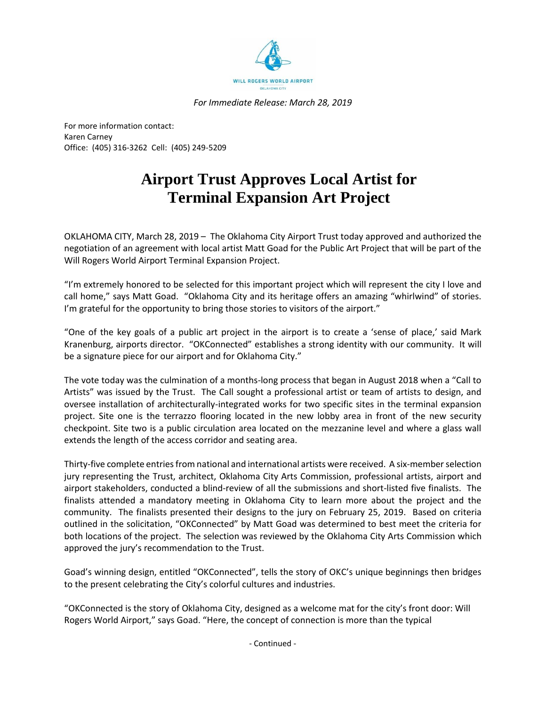

*For Immediate Release: March 28, 2019*

For more information contact: Karen Carney Office: (405) 316-3262 Cell: (405) 249-5209

## **Airport Trust Approves Local Artist for Terminal Expansion Art Project**

OKLAHOMA CITY, March 28, 2019 – The Oklahoma City Airport Trust today approved and authorized the negotiation of an agreement with local artist Matt Goad for the Public Art Project that will be part of the Will Rogers World Airport Terminal Expansion Project.

"I'm extremely honored to be selected for this important project which will represent the city I love and call home," says Matt Goad. "Oklahoma City and its heritage offers an amazing "whirlwind" of stories. I'm grateful for the opportunity to bring those stories to visitors of the airport."

"One of the key goals of a public art project in the airport is to create a 'sense of place,' said Mark Kranenburg, airports director. "OKConnected" establishes a strong identity with our community. It will be a signature piece for our airport and for Oklahoma City."

The vote today was the culmination of a months-long process that began in August 2018 when a "Call to Artists" was issued by the Trust. The Call sought a professional artist or team of artists to design, and oversee installation of architecturally-integrated works for two specific sites in the terminal expansion project. Site one is the terrazzo flooring located in the new lobby area in front of the new security checkpoint. Site two is a public circulation area located on the mezzanine level and where a glass wall extends the length of the access corridor and seating area.

Thirty-five complete entries from national and international artists were received. A six-member selection jury representing the Trust, architect, Oklahoma City Arts Commission, professional artists, airport and airport stakeholders, conducted a blind-review of all the submissions and short-listed five finalists. The finalists attended a mandatory meeting in Oklahoma City to learn more about the project and the community. The finalists presented their designs to the jury on February 25, 2019. Based on criteria outlined in the solicitation, "OKConnected" by Matt Goad was determined to best meet the criteria for both locations of the project. The selection was reviewed by the Oklahoma City Arts Commission which approved the jury's recommendation to the Trust.

Goad's winning design, entitled "OKConnected", tells the story of OKC's unique beginnings then bridges to the present celebrating the City's colorful cultures and industries.

"OKConnected is the story of Oklahoma City, designed as a welcome mat for the city's front door: Will Rogers World Airport," says Goad. "Here, the concept of connection is more than the typical